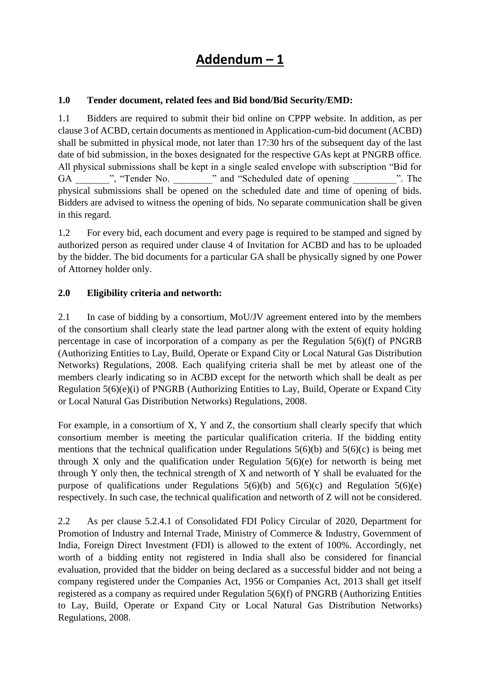# **Addendum – 1**

### **1.0 Tender document, related fees and Bid bond/Bid Security/EMD:**

1.1 Bidders are required to submit their bid online on CPPP website. In addition, as per clause 3 of ACBD, certain documents as mentioned in Application-cum-bid document (ACBD) shall be submitted in physical mode, not later than 17:30 hrs of the subsequent day of the last date of bid submission, in the boxes designated for the respective GAs kept at PNGRB office. All physical submissions shall be kept in a single sealed envelope with subscription "Bid for GA  $\ldots$ , "Tender No.  $\ldots$  and "Scheduled date of opening  $\ldots$ ". The physical submissions shall be opened on the scheduled date and time of opening of bids. Bidders are advised to witness the opening of bids. No separate communication shall be given in this regard.

1.2 For every bid, each document and every page is required to be stamped and signed by authorized person as required under clause 4 of Invitation for ACBD and has to be uploaded by the bidder. The bid documents for a particular GA shall be physically signed by one Power of Attorney holder only.

### **2.0 Eligibility criteria and networth:**

2.1 In case of bidding by a consortium, MoU/JV agreement entered into by the members of the consortium shall clearly state the lead partner along with the extent of equity holding percentage in case of incorporation of a company as per the Regulation 5(6)(f) of PNGRB (Authorizing Entities to Lay, Build, Operate or Expand City or Local Natural Gas Distribution Networks) Regulations, 2008. Each qualifying criteria shall be met by atleast one of the members clearly indicating so in ACBD except for the networth which shall be dealt as per Regulation 5(6)(e)(i) of PNGRB (Authorizing Entities to Lay, Build, Operate or Expand City or Local Natural Gas Distribution Networks) Regulations, 2008.

For example, in a consortium of X, Y and Z, the consortium shall clearly specify that which consortium member is meeting the particular qualification criteria. If the bidding entity mentions that the technical qualification under Regulations  $5(6)(b)$  and  $5(6)(c)$  is being met through X only and the qualification under Regulation 5(6)(e) for networth is being met through Y only then, the technical strength of X and networth of Y shall be evaluated for the purpose of qualifications under Regulations  $5(6)(b)$  and  $5(6)(c)$  and Regulation  $5(6)(e)$ respectively. In such case, the technical qualification and networth of Z will not be considered.

2.2 As per clause 5.2.4.1 of Consolidated FDI Policy Circular of 2020, Department for Promotion of Industry and Internal Trade, Ministry of Commerce & Industry, Government of India, Foreign Direct Investment (FDI) is allowed to the extent of 100%. Accordingly, net worth of a bidding entity not registered in India shall also be considered for financial evaluation, provided that the bidder on being declared as a successful bidder and not being a company registered under the Companies Act, 1956 or Companies Act, 2013 shall get itself registered as a company as required under Regulation 5(6)(f) of PNGRB (Authorizing Entities to Lay, Build, Operate or Expand City or Local Natural Gas Distribution Networks) Regulations, 2008.